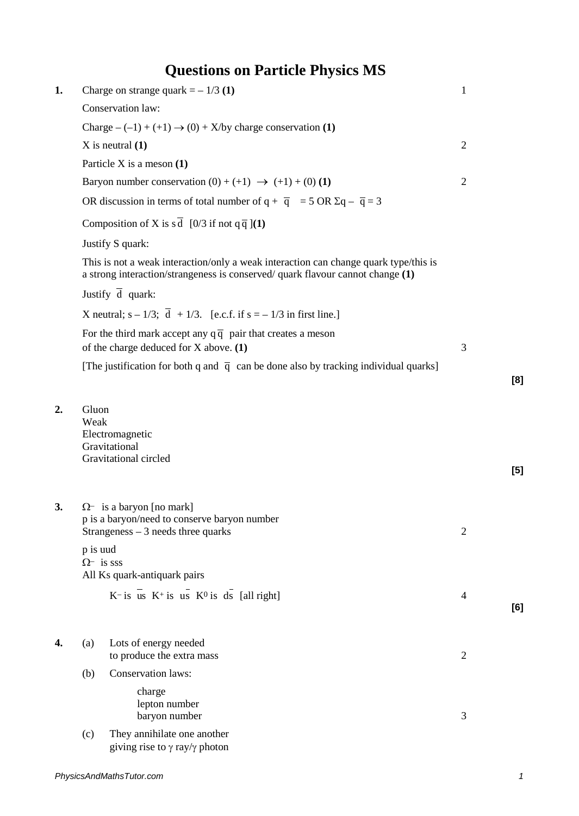## **Questions on Particle Physics MS**

| 1. |                                                                                                                                                                        | Charge on strange quark $= -1/3$ (1)                                                                                    | $\mathbf{1}$   |       |  |  |  |
|----|------------------------------------------------------------------------------------------------------------------------------------------------------------------------|-------------------------------------------------------------------------------------------------------------------------|----------------|-------|--|--|--|
|    | Conservation law:                                                                                                                                                      |                                                                                                                         |                |       |  |  |  |
|    | Charge $-(-1) + (+1) \rightarrow (0) + X/by$ charge conservation (1)                                                                                                   |                                                                                                                         |                |       |  |  |  |
|    | $X$ is neutral $(1)$                                                                                                                                                   | $\overline{2}$                                                                                                          |                |       |  |  |  |
|    |                                                                                                                                                                        | Particle X is a meson (1)                                                                                               |                |       |  |  |  |
|    |                                                                                                                                                                        | Baryon number conservation $(0) + (+1) \rightarrow (+1) + (0) (1)$                                                      | $\overline{2}$ |       |  |  |  |
|    | OR discussion in terms of total number of $q + \overline{q} = 5$ OR $\Sigma q - \overline{q} = 3$                                                                      |                                                                                                                         |                |       |  |  |  |
|    | Composition of X is s $\overline{d}$ [0/3 if not q $\overline{q}$ ](1)                                                                                                 |                                                                                                                         |                |       |  |  |  |
|    | Justify S quark:                                                                                                                                                       |                                                                                                                         |                |       |  |  |  |
|    | This is not a weak interaction/only a weak interaction can change quark type/this is<br>a strong interaction/strangeness is conserved/ quark flavour cannot change (1) |                                                                                                                         |                |       |  |  |  |
|    | Justify $\overline{d}$ quark:                                                                                                                                          |                                                                                                                         |                |       |  |  |  |
|    |                                                                                                                                                                        | X neutral; $s - 1/3$ ; $\overline{d} + 1/3$ . [e.c.f. if $s = -1/3$ in first line.]                                     |                |       |  |  |  |
|    | For the third mark accept any $q\bar{q}$ pair that creates a meson                                                                                                     |                                                                                                                         |                |       |  |  |  |
|    | of the charge deduced for X above. (1)                                                                                                                                 | 3                                                                                                                       |                |       |  |  |  |
|    |                                                                                                                                                                        | [The justification for both q and $\bar{q}$ can be done also by tracking individual quarks]                             |                | [8]   |  |  |  |
|    | Weak                                                                                                                                                                   | Electromagnetic<br>Gravitational<br>Gravitational circled                                                               |                | $[5]$ |  |  |  |
| 3. |                                                                                                                                                                        | $\Omega$ - is a baryon [no mark]<br>p is a baryon/need to conserve baryon number<br>Strangeness $-3$ needs three quarks | $\mathfrak{2}$ |       |  |  |  |
|    | p is uud<br>$\Omega$ <sup>-</sup> is sss<br>All Ks quark-antiquark pairs                                                                                               |                                                                                                                         |                |       |  |  |  |
|    |                                                                                                                                                                        | $K$ - is us $K$ <sup>+</sup> is us $K$ <sup>0</sup> is ds [all right]                                                   | $\overline{4}$ | [6]   |  |  |  |
| 4. | (a)                                                                                                                                                                    | Lots of energy needed<br>to produce the extra mass                                                                      | $\mathfrak{2}$ |       |  |  |  |
|    | (b)                                                                                                                                                                    | <b>Conservation laws:</b>                                                                                               |                |       |  |  |  |
|    |                                                                                                                                                                        | charge<br>lepton number<br>baryon number                                                                                | 3              |       |  |  |  |
|    | (c)                                                                                                                                                                    | They annihilate one another<br>giving rise to $\gamma$ ray/ $\gamma$ photon                                             |                |       |  |  |  |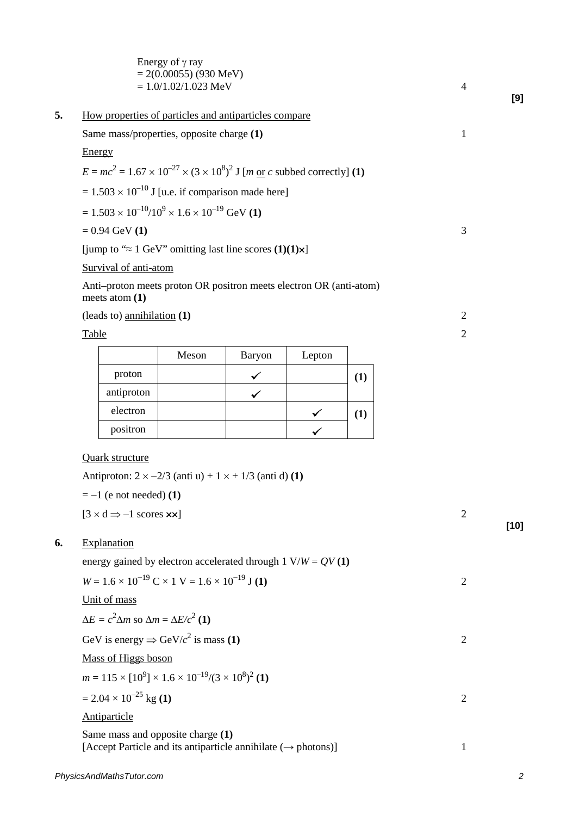|                                                                                                                |                                                                                                            | Energy of $\gamma$ ray<br>$= 2(0.00055)$ (930 MeV)<br>$= 1.0/1.02/1.023$ MeV |        |              |     |   | 4              |  |  |
|----------------------------------------------------------------------------------------------------------------|------------------------------------------------------------------------------------------------------------|------------------------------------------------------------------------------|--------|--------------|-----|---|----------------|--|--|
|                                                                                                                |                                                                                                            | How properties of particles and antiparticles compare                        |        |              |     |   |                |  |  |
| Same mass/properties, opposite charge (1)                                                                      |                                                                                                            |                                                                              |        |              |     |   | 1              |  |  |
| Energy                                                                                                         |                                                                                                            |                                                                              |        |              |     |   |                |  |  |
| $E = mc^2 = 1.67 \times 10^{-27} \times (3 \times 10^8)^2$ J [ <i>m</i> or <i>c</i> subbed correctly] (1)      |                                                                                                            |                                                                              |        |              |     |   |                |  |  |
| $= 1.503 \times 10^{-10}$ J [u.e. if comparison made here]                                                     |                                                                                                            |                                                                              |        |              |     |   |                |  |  |
|                                                                                                                | $= 1.503 \times 10^{-10}/10^{9} \times 1.6 \times 10^{-19}$ GeV (1)                                        |                                                                              |        |              |     |   |                |  |  |
| $= 0.94$ GeV (1)                                                                                               |                                                                                                            |                                                                              |        |              |     |   | 3              |  |  |
| [jump to " $\approx$ 1 GeV" omitting last line scores (1)(1) $\times$ ]                                        |                                                                                                            |                                                                              |        |              |     |   |                |  |  |
|                                                                                                                | Survival of anti-atom                                                                                      |                                                                              |        |              |     |   |                |  |  |
|                                                                                                                |                                                                                                            | Anti-proton meets proton OR positron meets electron OR (anti-atom)           |        |              |     |   |                |  |  |
|                                                                                                                | meets atom $(1)$                                                                                           |                                                                              |        |              |     |   |                |  |  |
| Table                                                                                                          | (leads to) annihilation $(1)$                                                                              |                                                                              |        |              |     |   |                |  |  |
|                                                                                                                |                                                                                                            | Meson                                                                        | Baryon | Lepton       |     |   | $\mathbf{2}$   |  |  |
|                                                                                                                | proton                                                                                                     |                                                                              |        |              |     |   |                |  |  |
|                                                                                                                | antiproton                                                                                                 |                                                                              | ✓      |              | (1) |   |                |  |  |
|                                                                                                                | electron                                                                                                   |                                                                              |        |              | (1) |   |                |  |  |
|                                                                                                                | positron                                                                                                   |                                                                              |        | $\checkmark$ |     |   |                |  |  |
|                                                                                                                | <b>Quark structure</b><br>$=-1$ (e not needed) (1)<br>$[3 \times d \Rightarrow -1$ scores $\times \times]$ | Antiproton: $2 \times -2/3$ (anti u) + $1 \times +1/3$ (anti d) (1)          |        |              |     |   | $\overline{2}$ |  |  |
| Explanation                                                                                                    |                                                                                                            |                                                                              |        |              |     |   |                |  |  |
|                                                                                                                |                                                                                                            | energy gained by electron accelerated through 1 $V/W = QV(1)$                |        |              |     |   |                |  |  |
|                                                                                                                |                                                                                                            | $W = 1.6 \times 10^{-19}$ C × 1 V = 1.6 × 10 <sup>-19</sup> J (1)            |        |              |     |   | $\overline{2}$ |  |  |
|                                                                                                                | Unit of mass                                                                                               |                                                                              |        |              |     |   |                |  |  |
|                                                                                                                | $\Delta E = c^2 \Delta m$ so $\Delta m = \Delta E/c^2$ (1)                                                 |                                                                              |        |              |     |   |                |  |  |
| GeV is energy $\Rightarrow$ GeV/ $c^2$ is mass (1)                                                             |                                                                                                            |                                                                              |        |              |     |   | $\overline{2}$ |  |  |
| Mass of Higgs boson                                                                                            |                                                                                                            |                                                                              |        |              |     |   |                |  |  |
|                                                                                                                | $m = 115 \times [10^9] \times 1.6 \times 10^{-19} / (3 \times 10^8)^2$ (1)                                 |                                                                              |        |              |     |   |                |  |  |
| $= 2.04 \times 10^{-25}$ kg (1)                                                                                |                                                                                                            |                                                                              |        |              |     |   | $\overline{2}$ |  |  |
|                                                                                                                | Antiparticle                                                                                               |                                                                              |        |              |     |   |                |  |  |
| Same mass and opposite charge (1)<br>[Accept Particle and its antiparticle annihilate $(\rightarrow$ photons)] |                                                                                                            |                                                                              |        |              |     | 1 |                |  |  |